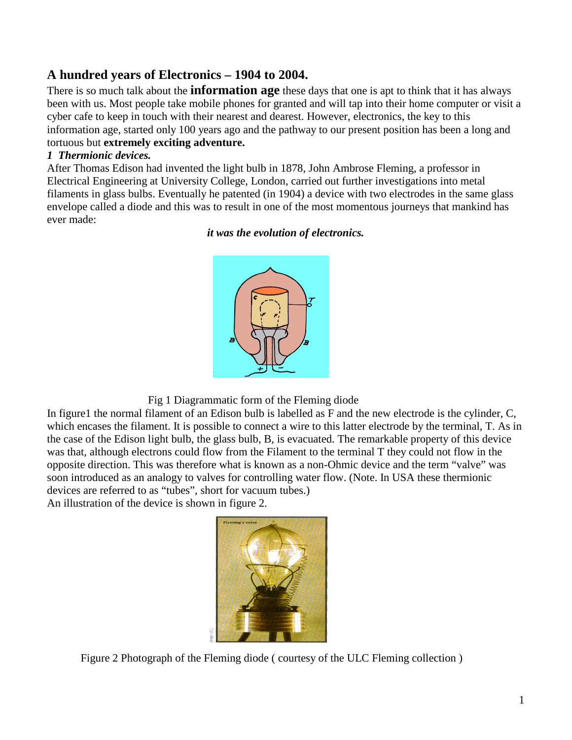# **A hundred years of Electronics – 1904 to 2004.**

There is so much talk about the **information age** these days that one is apt to think that it has always been with us. Most people take mobile phones for granted and will tap into their home computer or visit a cyber cafe to keep in touch with their nearest and dearest. However, electronics, the key to this information age, started only 100 years ago and the pathway to our present position has been a long and tortuous but **extremely exciting adventure.** 

#### *1 Thermionic devices.*

After Thomas Edison had invented the light bulb in 1878, John Ambrose Fleming, a professor in Electrical Engineering at University College, London, carried out further investigations into metal filaments in glass bulbs. Eventually he patented (in 1904) a device with two electrodes in the same glass envelope called a diode and this was to result in one of the most momentous journeys that mankind has ever made:

#### *it was the evolution of electronics.*



Fig 1 Diagrammatic form of the Fleming diode

In figure1 the normal filament of an Edison bulb is labelled as F and the new electrode is the cylinder, C, which encases the filament. It is possible to connect a wire to this latter electrode by the terminal, T. As in the case of the Edison light bulb, the glass bulb, B, is evacuated. The remarkable property of this device was that, although electrons could flow from the Filament to the terminal T they could not flow in the opposite direction. This was therefore what is known as a non-Ohmic device and the term "valve" was soon introduced as an analogy to valves for controlling water flow. (Note. In USA these thermionic devices are referred to as "tubes", short for vacuum tubes.)

An illustration of the device is shown in figure 2.



Figure 2 Photograph of the Fleming diode ( courtesy of the ULC Fleming collection )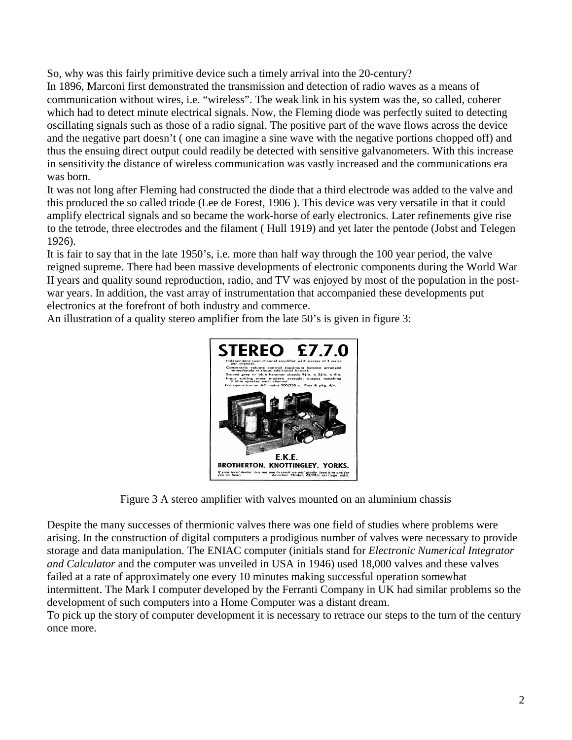So, why was this fairly primitive device such a timely arrival into the 20-century?

In 1896, Marconi first demonstrated the transmission and detection of radio waves as a means of communication without wires, i.e. "wireless". The weak link in his system was the, so called, coherer which had to detect minute electrical signals. Now, the Fleming diode was perfectly suited to detecting oscillating signals such as those of a radio signal. The positive part of the wave flows across the device and the negative part doesn't ( one can imagine a sine wave with the negative portions chopped off) and thus the ensuing direct output could readily be detected with sensitive galvanometers. With this increase in sensitivity the distance of wireless communication was vastly increased and the communications era was born.

It was not long after Fleming had constructed the diode that a third electrode was added to the valve and this produced the so called triode (Lee de Forest, 1906 ). This device was very versatile in that it could amplify electrical signals and so became the work-horse of early electronics. Later refinements give rise to the tetrode, three electrodes and the filament ( Hull 1919) and yet later the pentode (Jobst and Telegen 1926).

It is fair to say that in the late 1950's, i.e. more than half way through the 100 year period, the valve reigned supreme. There had been massive developments of electronic components during the World War II years and quality sound reproduction, radio, and TV was enjoyed by most of the population in the postwar years. In addition, the vast array of instrumentation that accompanied these developments put electronics at the forefront of both industry and commerce.

An illustration of a quality stereo amplifier from the late 50's is given in figure 3:



Figure 3 A stereo amplifier with valves mounted on an aluminium chassis

Despite the many successes of thermionic valves there was one field of studies where problems were arising. In the construction of digital computers a prodigious number of valves were necessary to provide storage and data manipulation. The ENIAC computer (initials stand for *Electronic Numerical Integrator and Calculator* and the computer was unveiled in USA in 1946) used 18,000 valves and these valves failed at a rate of approximately one every 10 minutes making successful operation somewhat intermittent. The Mark I computer developed by the Ferranti Company in UK had similar problems so the development of such computers into a Home Computer was a distant dream.

To pick up the story of computer development it is necessary to retrace our steps to the turn of the century once more.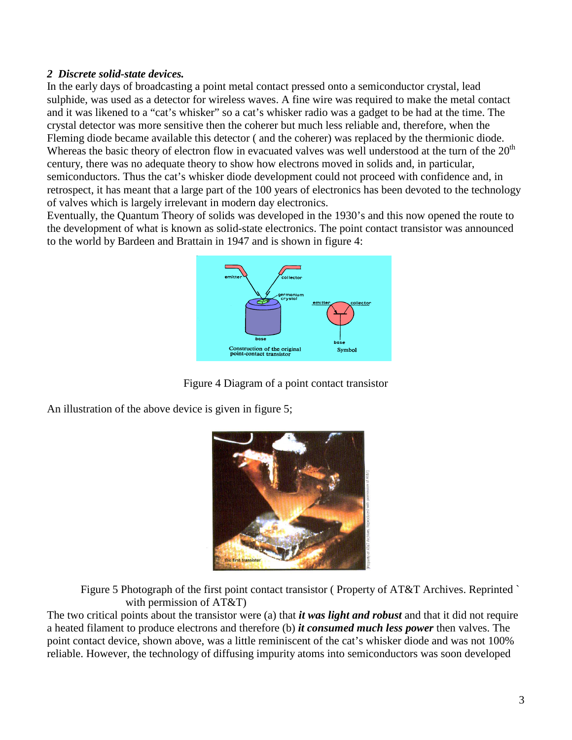#### *2 Discrete solid-state devices.*

In the early days of broadcasting a point metal contact pressed onto a semiconductor crystal, lead sulphide, was used as a detector for wireless waves. A fine wire was required to make the metal contact and it was likened to a "cat's whisker" so a cat's whisker radio was a gadget to be had at the time. The crystal detector was more sensitive then the coherer but much less reliable and, therefore, when the Fleming diode became available this detector ( and the coherer) was replaced by the thermionic diode. Whereas the basic theory of electron flow in evacuated valves was well understood at the turn of the 20<sup>th</sup> century, there was no adequate theory to show how electrons moved in solids and, in particular, semiconductors. Thus the cat's whisker diode development could not proceed with confidence and, in retrospect, it has meant that a large part of the 100 years of electronics has been devoted to the technology of valves which is largely irrelevant in modern day electronics.

Eventually, the Quantum Theory of solids was developed in the 1930's and this now opened the route to the development of what is known as solid-state electronics. The point contact transistor was announced to the world by Bardeen and Brattain in 1947 and is shown in figure 4:



Figure 4 Diagram of a point contact transistor

An illustration of the above device is given in figure 5;



Figure 5 Photograph of the first point contact transistor (Property of AT&T Archives. Reprinted ` with permission of AT&T)

The two critical points about the transistor were (a) that *it was light and robust* and that it did not require a heated filament to produce electrons and therefore (b) *it consumed much less power* then valves. The point contact device, shown above, was a little reminiscent of the cat's whisker diode and was not 100% reliable. However, the technology of diffusing impurity atoms into semiconductors was soon developed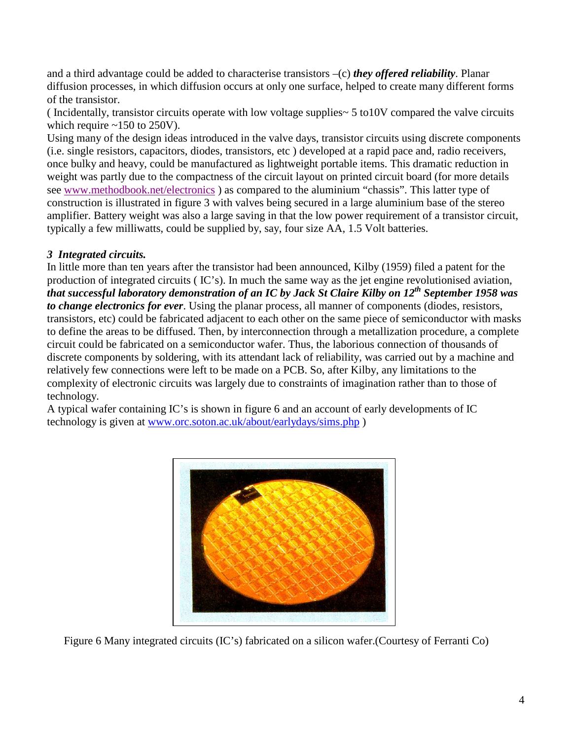and a third advantage could be added to characterise transistors –(c) *they offered reliability*. Planar diffusion processes, in which diffusion occurs at only one surface, helped to create many different forms of the transistor.

( Incidentally, transistor circuits operate with low voltage supplies~ 5 to10V compared the valve circuits which require  $\sim$ 150 to 250V).

Using many of the design ideas introduced in the valve days, transistor circuits using discrete components (i.e. single resistors, capacitors, diodes, transistors, etc ) developed at a rapid pace and, radio receivers, once bulky and heavy, could be manufactured as lightweight portable items. This dramatic reduction in weight was partly due to the compactness of the circuit layout on printed circuit board (for more details see www.methodbook.net/electronics ) as compared to the aluminium "chassis". This latter type of construction is illustrated in figure 3 with valves being secured in a large aluminium base of the stereo amplifier. Battery weight was also a large saving in that the low power requirement of a transistor circuit, typically a few milliwatts, could be supplied by, say, four size AA, 1.5 Volt batteries.

### *3 Integrated circuits.*

In little more than ten years after the transistor had been announced, Kilby (1959) filed a patent for the production of integrated circuits ( IC's). In much the same way as the jet engine revolutionised aviation, *that successful laboratory demonstration of an IC by Jack St Claire Kilby on 12th September 1958 was to change electronics for ever*. Using the planar process, all manner of components (diodes, resistors, transistors, etc) could be fabricated adjacent to each other on the same piece of semiconductor with masks to define the areas to be diffused. Then, by interconnection through a metallization procedure, a complete circuit could be fabricated on a semiconductor wafer. Thus, the laborious connection of thousands of discrete components by soldering, with its attendant lack of reliability, was carried out by a machine and relatively few connections were left to be made on a PCB. So, after Kilby, any limitations to the complexity of electronic circuits was largely due to constraints of imagination rather than to those of technology.

A typical wafer containing IC's is shown in figure 6 and an account of early developments of IC technology is given at www.orc.soton.ac.uk/about/earlydays/sims.php )



Figure 6 Many integrated circuits (IC's) fabricated on a silicon wafer.(Courtesy of Ferranti Co)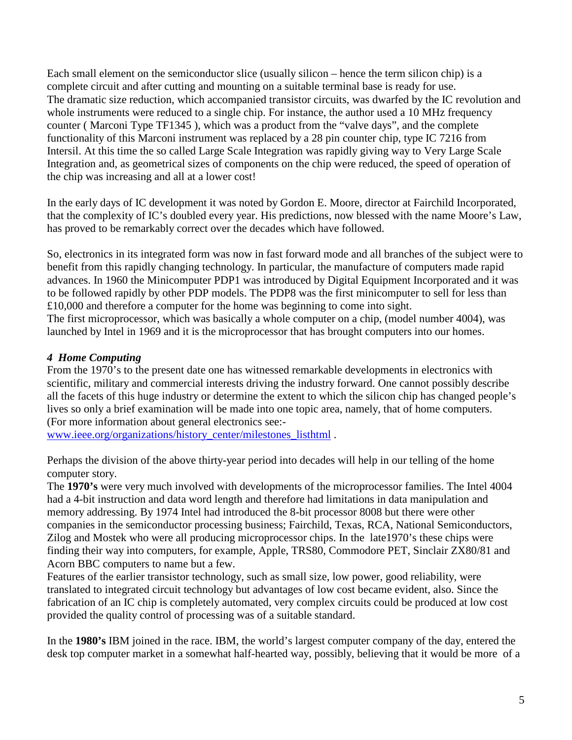Each small element on the semiconductor slice (usually silicon – hence the term silicon chip) is a complete circuit and after cutting and mounting on a suitable terminal base is ready for use. The dramatic size reduction, which accompanied transistor circuits, was dwarfed by the IC revolution and whole instruments were reduced to a single chip. For instance, the author used a 10 MHz frequency counter ( Marconi Type TF1345 ), which was a product from the "valve days", and the complete functionality of this Marconi instrument was replaced by a 28 pin counter chip, type IC 7216 from Intersil. At this time the so called Large Scale Integration was rapidly giving way to Very Large Scale Integration and, as geometrical sizes of components on the chip were reduced, the speed of operation of the chip was increasing and all at a lower cost!

In the early days of IC development it was noted by Gordon E. Moore, director at Fairchild Incorporated, that the complexity of IC's doubled every year. His predictions, now blessed with the name Moore's Law, has proved to be remarkably correct over the decades which have followed.

So, electronics in its integrated form was now in fast forward mode and all branches of the subject were to benefit from this rapidly changing technology. In particular, the manufacture of computers made rapid advances. In 1960 the Minicomputer PDP1 was introduced by Digital Equipment Incorporated and it was to be followed rapidly by other PDP models. The PDP8 was the first minicomputer to sell for less than £10,000 and therefore a computer for the home was beginning to come into sight. The first microprocessor, which was basically a whole computer on a chip, (model number 4004), was

launched by Intel in 1969 and it is the microprocessor that has brought computers into our homes.

#### *4 Home Computing*

From the 1970's to the present date one has witnessed remarkable developments in electronics with scientific, military and commercial interests driving the industry forward. One cannot possibly describe all the facets of this huge industry or determine the extent to which the silicon chip has changed people's lives so only a brief examination will be made into one topic area, namely, that of home computers. (For more information about general electronics see:-

www.ieee.org/organizations/history\_center/milestones\_listhtml .

Perhaps the division of the above thirty-year period into decades will help in our telling of the home computer story.

The **1970's** were very much involved with developments of the microprocessor families. The Intel 4004 had a 4-bit instruction and data word length and therefore had limitations in data manipulation and memory addressing. By 1974 Intel had introduced the 8-bit processor 8008 but there were other companies in the semiconductor processing business; Fairchild, Texas, RCA, National Semiconductors, Zilog and Mostek who were all producing microprocessor chips. In the late1970's these chips were finding their way into computers, for example, Apple, TRS80, Commodore PET, Sinclair ZX80/81 and Acorn BBC computers to name but a few.

Features of the earlier transistor technology, such as small size, low power, good reliability, were translated to integrated circuit technology but advantages of low cost became evident, also. Since the fabrication of an IC chip is completely automated, very complex circuits could be produced at low cost provided the quality control of processing was of a suitable standard.

In the **1980's** IBM joined in the race. IBM, the world's largest computer company of the day, entered the desk top computer market in a somewhat half-hearted way, possibly, believing that it would be more of a